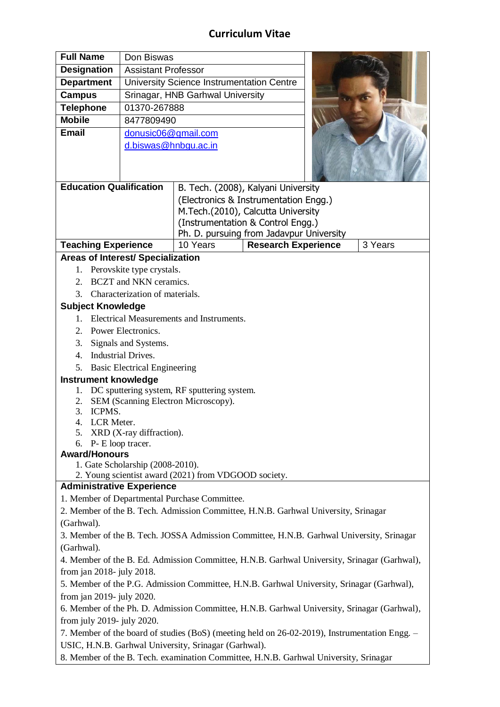| <b>Full Name</b>                                                                                       | Don Biswas                                |                                       |                            |  |         |
|--------------------------------------------------------------------------------------------------------|-------------------------------------------|---------------------------------------|----------------------------|--|---------|
| <b>Designation</b>                                                                                     | <b>Assistant Professor</b>                |                                       |                            |  |         |
| <b>Department</b>                                                                                      | University Science Instrumentation Centre |                                       |                            |  |         |
| <b>Campus</b>                                                                                          | Srinagar, HNB Garhwal University          |                                       |                            |  |         |
| <b>Telephone</b>                                                                                       | 01370-267888                              |                                       |                            |  |         |
| <b>Mobile</b>                                                                                          | 8477809490                                |                                       |                            |  |         |
| <b>Email</b>                                                                                           | donusic06@gmail.com                       |                                       |                            |  |         |
|                                                                                                        | d.biswas@hnbgu.ac.in                      |                                       |                            |  |         |
|                                                                                                        |                                           |                                       |                            |  |         |
|                                                                                                        |                                           |                                       |                            |  |         |
| <b>Education Qualification</b>                                                                         |                                           | B. Tech. (2008), Kalyani University   |                            |  |         |
|                                                                                                        |                                           | (Electronics & Instrumentation Engg.) |                            |  |         |
| M.Tech.(2010), Calcutta University<br>(Instrumentation & Control Engg.)                                |                                           |                                       |                            |  |         |
| Ph. D. pursuing from Jadavpur University                                                               |                                           |                                       |                            |  |         |
| <b>Teaching Experience</b>                                                                             |                                           | 10 Years                              | <b>Research Experience</b> |  | 3 Years |
| <b>Areas of Interest/ Specialization</b>                                                               |                                           |                                       |                            |  |         |
| Perovskite type crystals.<br>1.                                                                        |                                           |                                       |                            |  |         |
| BCZT and NKN ceramics.<br>$\overline{2}$ .                                                             |                                           |                                       |                            |  |         |
| 3 <sub>1</sub><br>Characterization of materials.                                                       |                                           |                                       |                            |  |         |
| <b>Subject Knowledge</b>                                                                               |                                           |                                       |                            |  |         |
| 1. Electrical Measurements and Instruments.                                                            |                                           |                                       |                            |  |         |
| 2.<br>Power Electronics.                                                                               |                                           |                                       |                            |  |         |
| 3.<br>Signals and Systems.                                                                             |                                           |                                       |                            |  |         |
| 4. Industrial Drives.                                                                                  |                                           |                                       |                            |  |         |
| <b>Basic Electrical Engineering</b><br>5.                                                              |                                           |                                       |                            |  |         |
| Instrument knowledge                                                                                   |                                           |                                       |                            |  |         |
| DC sputtering system, RF sputtering system.<br>1.                                                      |                                           |                                       |                            |  |         |
| SEM (Scanning Electron Microscopy).<br>2.                                                              |                                           |                                       |                            |  |         |
| ICPMS.<br>3.<br>LCR Meter.<br>4.                                                                       |                                           |                                       |                            |  |         |
| 5. XRD (X-ray diffraction).                                                                            |                                           |                                       |                            |  |         |
| 6. P- E loop tracer.                                                                                   |                                           |                                       |                            |  |         |
| <b>Award/Honours</b>                                                                                   |                                           |                                       |                            |  |         |
| 1. Gate Scholarship (2008-2010).                                                                       |                                           |                                       |                            |  |         |
| 2. Young scientist award (2021) from VDGOOD society.                                                   |                                           |                                       |                            |  |         |
| <b>Administrative Experience</b>                                                                       |                                           |                                       |                            |  |         |
| 1. Member of Departmental Purchase Committee.                                                          |                                           |                                       |                            |  |         |
| 2. Member of the B. Tech. Admission Committee, H.N.B. Garhwal University, Srinagar                     |                                           |                                       |                            |  |         |
| (Garhwal).                                                                                             |                                           |                                       |                            |  |         |
| 3. Member of the B. Tech. JOSSA Admission Committee, H.N.B. Garhwal University, Srinagar<br>(Garhwal). |                                           |                                       |                            |  |         |
| 4. Member of the B. Ed. Admission Committee, H.N.B. Garhwal University, Srinagar (Garhwal),            |                                           |                                       |                            |  |         |
| from jan $2018$ - july $2018$ .                                                                        |                                           |                                       |                            |  |         |
| 5. Member of the P.G. Admission Committee, H.N.B. Garhwal University, Srinagar (Garhwal),              |                                           |                                       |                            |  |         |
| from jan 2019- july 2020.                                                                              |                                           |                                       |                            |  |         |
| 6. Member of the Ph. D. Admission Committee, H.N.B. Garhwal University, Srinagar (Garhwal),            |                                           |                                       |                            |  |         |
| from july 2019- july 2020.                                                                             |                                           |                                       |                            |  |         |
| 7. Member of the board of studies (BoS) (meeting held on 26-02-2019), Instrumentation Engg. -          |                                           |                                       |                            |  |         |
| USIC, H.N.B. Garhwal University, Srinagar (Garhwal).                                                   |                                           |                                       |                            |  |         |
| 8. Member of the B. Tech. examination Committee, H.N.B. Garhwal University, Srinagar                   |                                           |                                       |                            |  |         |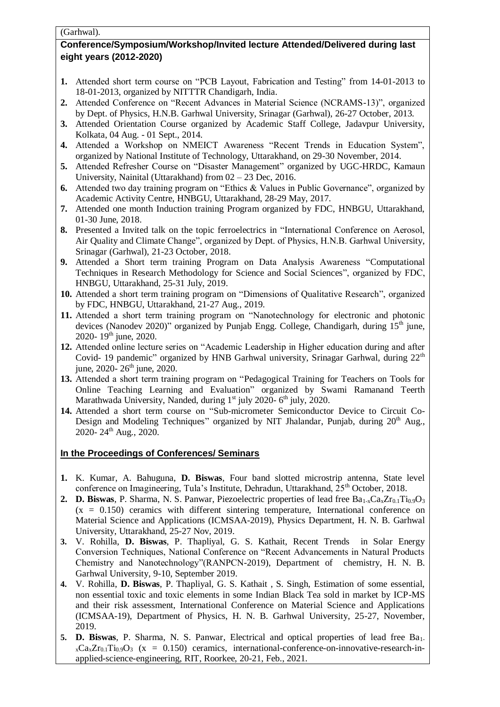#### (Garhwal).

# **Conference/Symposium/Workshop/Invited lecture Attended/Delivered during last eight years (2012-2020)**

- **1.** Attended short term course on "PCB Layout, Fabrication and Testing" from 14-01-2013 to 18-01-2013, organized by NITTTR Chandigarh, India.
- **2.** Attended Conference on "Recent Advances in Material Science (NCRAMS-13)", organized by Dept. of Physics, H.N.B. Garhwal University, Srinagar (Garhwal), 26-27 October, 2013.
- **3.** Attended Orientation Course organized by Academic Staff College, Jadavpur University, Kolkata, 04 Aug. - 01 Sept., 2014.
- **4.** Attended a Workshop on NMEICT Awareness "Recent Trends in Education System", organized by National Institute of Technology, Uttarakhand, on 29-30 November, 2014.
- **5.** Attended Refresher Course on "Disaster Management" organized by UGC-HRDC, Kamaun University, Nainital (Uttarakhand) from 02 – 23 Dec, 2016.
- **6.** Attended two day training program on "Ethics & Values in Public Governance", organized by Academic Activity Centre, HNBGU, Uttarakhand, 28-29 May, 2017.
- **7.** Attended one month Induction training Program organized by FDC, HNBGU, Uttarakhand, 01-30 June, 2018.
- **8.** Presented a Invited talk on the topic ferroelectrics in "International Conference on Aerosol, Air Quality and Climate Change", organized by Dept. of Physics, H.N.B. Garhwal University, Srinagar (Garhwal), 21-23 October, 2018.
- **9.** Attended a Short term training Program on Data Analysis Awareness "Computational Techniques in Research Methodology for Science and Social Sciences", organized by FDC, HNBGU, Uttarakhand, 25-31 July, 2019.
- **10.** Attended a short term training program on "Dimensions of Qualitative Research", organized by FDC, HNBGU, Uttarakhand, 21-27 Aug., 2019.
- **11.** Attended a short term training program on "Nanotechnology for electronic and photonic devices (Nanodev 2020)" organized by Punjab Engg. College, Chandigarh, during  $15<sup>th</sup>$  june, 2020- 19<sup>th</sup> june, 2020.
- **12.** Attended online lecture series on "Academic Leadership in Higher education during and after Covid- 19 pandemic" organized by HNB Garhwal university, Srinagar Garhwal, during 22<sup>th</sup> june, 2020- 26<sup>th</sup> june, 2020.
- **13.** Attended a short term training program on "Pedagogical Training for Teachers on Tools for Online Teaching Learning and Evaluation" organized by Swami Ramanand Teerth Marathwada University, Nanded, during 1<sup>st</sup> july 2020-6<sup>th</sup> july, 2020.
- **14.** Attended a short term course on "Sub-micrometer Semiconductor Device to Circuit Co-Design and Modeling Techniques" organized by NIT Jhalandar, Punjab, during 20<sup>th</sup> Aug., 2020- 24th Aug., 2020.

### **In the Proceedings of Conferences/ Seminars**

- **1.** K. Kumar, A. Bahuguna, **D. Biswas**, Four band slotted microstrip antenna, State level conference on Imagineering, Tula's Institute, Dehradun, Uttarakhand, 25<sup>th</sup> October, 2018.
- **2. D. Biswas**, P. Sharma, N. S. Panwar, Piezoelectric properties of lead free  $Ba_{1-x}Ca_xZr_{0.1}Ti_{0.9}O_3$  $(x = 0.150)$  ceramics with different sintering temperature, International conference on Material Science and Applications (ICMSAA-2019), Physics Department, H. N. B. Garhwal University, Uttarakhand, 25-27 Nov, 2019.
- **3.** V. Rohilla, **D. Biswas**, P. Thapliyal, G. S. Kathait, Recent Trends in Solar Energy Conversion Techniques, National Conference on "Recent Advancements in Natural Products Chemistry and Nanotechnology"(RANPCN-2019), Department of chemistry, H. N. B. Garhwal University, 9-10, September 2019.
- **4.** V. Rohilla, **D. Biswas**, P. Thapliyal, G. S. Kathait , S. Singh, Estimation of some essential, non essential toxic and toxic elements in some Indian Black Tea sold in market by ICP-MS and their risk assessment, International Conference on Material Science and Applications (ICMSAA-19), Department of Physics, H. N. B. Garhwal University, 25-27, November, 2019.
- **5. D. Biswas**, P. Sharma, N. S. Panwar, Electrical and optical properties of lead free Ba1-  $_{x}Ca_{x}Zr_{0.1}Ti_{0.9}O_3$  (x = 0.150) ceramics, international-conference-on-innovative-research-inapplied-science-engineering, RIT, Roorkee, 20-21, Feb., 2021.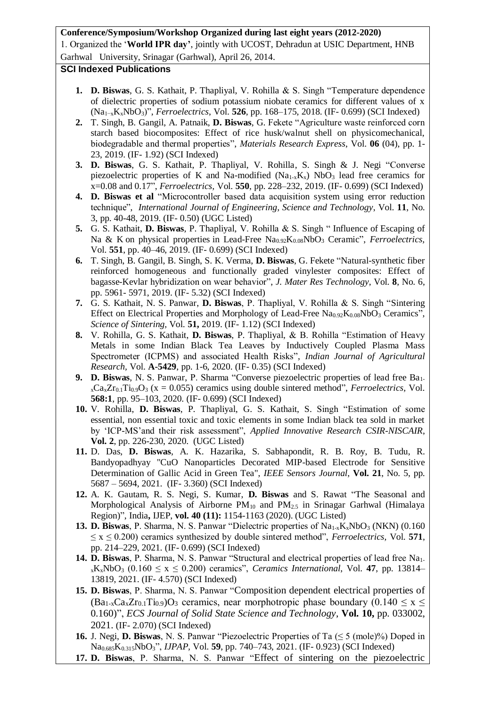#### **Conference/Symposium/Workshop Organized during last eight years (2012-2020)**

1. Organized the '**World IPR day'**, jointly with UCOST, Dehradun at USIC Department, HNB Garhwal University, Srinagar (Garhwal), April 26, 2014.

## **SCI Indexed Publications**

- **1. D. Biswas**, G. S. Kathait, P. Thapliyal, V. Rohilla & S. Singh "Temperature dependence of dielectric properties of sodium potassium niobate ceramics for different values of x (Na1−xKxNbO3)", *Ferroelectrics*, Vol. **526**, pp. 168–175, 2018. (IF- 0.699) (SCI Indexed)
- **2.** T. Singh, B. Gangil, A. Patnaik, **D. Biswas**, G. Fekete "Agriculture waste reinforced corn starch based biocomposites: Effect of rice husk/walnut shell on physicomechanical, biodegradable and thermal properties", *Materials Research Express*, Vol. **06** (04), pp. 1- 23, 2019. (IF- 1.92) (SCI Indexed)
- **3. D. Biswas**, G. S. Kathait, P. Thapliyal, V. Rohilla, S. Singh & J. Negi "Converse piezoelectric properties of K and Na-modified  $(Na_{1-x}K_x)$  NbO<sub>3</sub> lead free ceramics for x=0.08 and 0.17", *Ferroelectrics,* Vol. **550**, pp. 228–232, 2019. (IF- 0.699) (SCI Indexed)
- **4. D. Biswas et al** "Microcontroller based data acquisition system using error reduction technique", *International Journal of Engineering, Science and Technology*, Vol. **11**, No. 3, pp. 40-48, 2019. (IF- 0.50) (UGC Listed)
- **5.** G. S. Kathait, **D. Biswas**, P. Thapliyal, V. Rohilla & S. Singh " Influence of Escaping of Na & K on physical properties in Lead-Free Na0.92K0.08NbO<sup>3</sup> Ceramic", *Ferroelectrics,* Vol. **551**, pp. 40–46, 2019. (IF- 0.699) (SCI Indexed)
- **6.** T. Singh, B. Gangil, B. Singh, S. K. Verma, **D. Biswas**, G. Fekete "Natural-synthetic fiber reinforced homogeneous and functionally graded vinylester composites: Effect of bagasse-Kevlar hybridization on wear behavior", *J. Mater Res Technology*, Vol. **8**, No. 6, pp. 5961- 5971, 2019. (IF- 5.32) (SCI Indexed)
- **7.** G. S. Kathait, N. S. Panwar, **D. Biswas**, P. Thapliyal, V. Rohilla & S. Singh "Sintering Effect on Electrical Properties and Morphology of Lead-Free  $Na_{0.92}K_{0.08}NbO_3$  Ceramics", *Science of Sintering,* Vol. **51,** 2019. (IF- 1.12) (SCI Indexed)
- **8.** V. Rohilla, G. S. Kathait, **D. Biswas**, P. Thapliyal, & B. Rohilla "Estimation of Heavy Metals in some Indian Black Tea Leaves by Inductively Coupled Plasma Mass Spectrometer (ICPMS) and associated Health Risks", *Indian Journal of Agricultural Research,* Vol. **A-5429**, pp. 1-6, 2020. (IF- 0.35) (SCI Indexed)
- **9. D. Biswas**, N. S. Panwar, P. Sharma "Converse piezoelectric properties of lead free Ba<sub>1</sub>.  $_{x}Ca_{x}Zr_{0.1}Ti_{0.9}O_{3}$  (x = 0.055) ceramics using double sintered method", *Ferroelectrics*, Vol. **568:1**, pp. 95–103, 2020. (IF- 0.699) (SCI Indexed)
- **10.** V. Rohilla, **D. Biswas**, P. Thapliyal, G. S. Kathait, S. Singh "Estimation of some essential, non essential toxic and toxic elements in some Indian black tea sold in market by 'ICP-MS'and their risk assessment", *Applied Innovative Research CSIR-NISCAIR*, **Vol. 2**, pp. 226-230, 2020. (UGC Listed)
- **11.** D. Das, **D. Biswas**, A. K. Hazarika, S. Sabhapondit, R. B. Roy, B. Tudu, R. Bandyopadhyay "CuO Nanoparticles Decorated MIP-based Electrode for Sensitive Determination of Gallic Acid in Green Tea", *IEEE Sensors Journal*, **Vol. 21**, No. 5, pp. 5687 – 5694, 2021. (IF- 3.360) (SCI Indexed)
- **12.** A. K. Gautam, R. S. Negi, S. Kumar, **D. Biswas** and S. Rawat "The Seasonal and Morphological Analysis of Airborne PM<sub>10</sub> and PM<sub>2.5</sub> in Srinagar Garhwal (Himalaya Region)", India**,** IJEP, **vol. 40 (11):** 1154-1163 (2020). (UGC Listed)
- **13. D. Biswas**, P. Sharma, N. S. Panwar "Dielectric properties of  $Na_{1-x}K_xNbO_3$  (NKN) (0.160)  $\leq$  x  $\leq$  0.200) ceramics synthesized by double sintered method", *Ferroelectrics*, Vol. **571**, pp. 214–229, 2021. (IF- 0.699) (SCI Indexed)
- **14. D. Biswas**, P. Sharma, N. S. Panwar "Structural and electrical properties of lead free Na1  $x_K$ K<sub>x</sub>NbO<sub>3</sub> (0.160  $\le x \le 0.200$ ) ceramics", *Ceramics International*, Vol. 47, pp. 13814– 13819, 2021. (IF- 4.570) (SCI Indexed)
- **15. D. Biswas**, P. Sharma, N. S. Panwar "Composition dependent electrical properties of  $(Ba_{1-x}Ca_{x}Zr_{0,1}Ti_{0,9})O_{3}$  ceramics, near morphotropic phase boundary (0.140  $\leq x \leq$ 0.160)", *ECS Journal of Solid State Science and Technology*, **Vol. 10,** pp. 033002, 2021. (IF- 2.070) (SCI Indexed)
- **16.** J. Negi, **D. Biswas**, N. S. Panwar "Piezoelectric Properties of Ta  $(\leq 5 \text{ (mole)}\%)$  Doped in Na0.685K0.315NbO3", *IJPAP,* Vol. **59**, pp. 740–743, 2021. (IF- 0.923) (SCI Indexed)
- **17. D. Biswas**, P. Sharma, N. S. Panwar "Effect of sintering on the piezoelectric